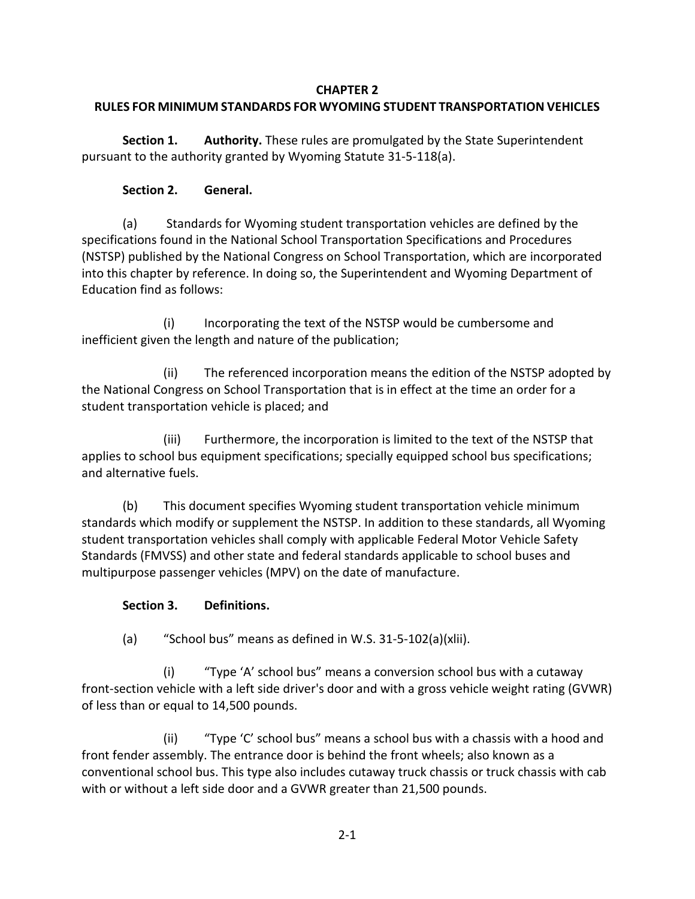#### **CHAPTER 2**

# **RULES FOR MINIMUM STANDARDS FOR WYOMING STUDENT TRANSPORTATION VEHICLES**

**Section 1. Authority.** These rules are promulgated by the State Superintendent pursuant to the authority granted by Wyoming Statute 31-5-118(a).

## **Section 2. General.**

(a) Standards for Wyoming student transportation vehicles are defined by the specifications found in the National School Transportation Specifications and Procedures (NSTSP) published by the National Congress on School Transportation, which are incorporated into this chapter by reference. In doing so, the Superintendent and Wyoming Department of Education find as follows:

(i) Incorporating the text of the NSTSP would be cumbersome and inefficient given the length and nature of the publication;

(ii) The referenced incorporation means the edition of the NSTSP adopted by the National Congress on School Transportation that is in effect at the time an order for a student transportation vehicle is placed; and

(iii) Furthermore, the incorporation is limited to the text of the NSTSP that applies to school bus equipment specifications; specially equipped school bus specifications; and alternative fuels.

(b) This document specifies Wyoming student transportation vehicle minimum standards which modify or supplement the NSTSP. In addition to these standards, all Wyoming student transportation vehicles shall comply with applicable Federal Motor Vehicle Safety Standards (FMVSS) and other state and federal standards applicable to school buses and multipurpose passenger vehicles (MPV) on the date of manufacture.

# **Section 3. Definitions.**

(a) "School bus" means as defined in W.S. 31-5-102(a)(xlii).

(i) "Type 'A' school bus" means a conversion school bus with a cutaway front-section vehicle with a left side driver's door and with a gross vehicle weight rating (GVWR) of less than or equal to 14,500 pounds.

(ii) "Type 'C' school bus" means a school bus with a chassis with a hood and front fender assembly. The entrance door is behind the front wheels; also known as a conventional school bus. This type also includes cutaway truck chassis or truck chassis with cab with or without a left side door and a GVWR greater than 21,500 pounds.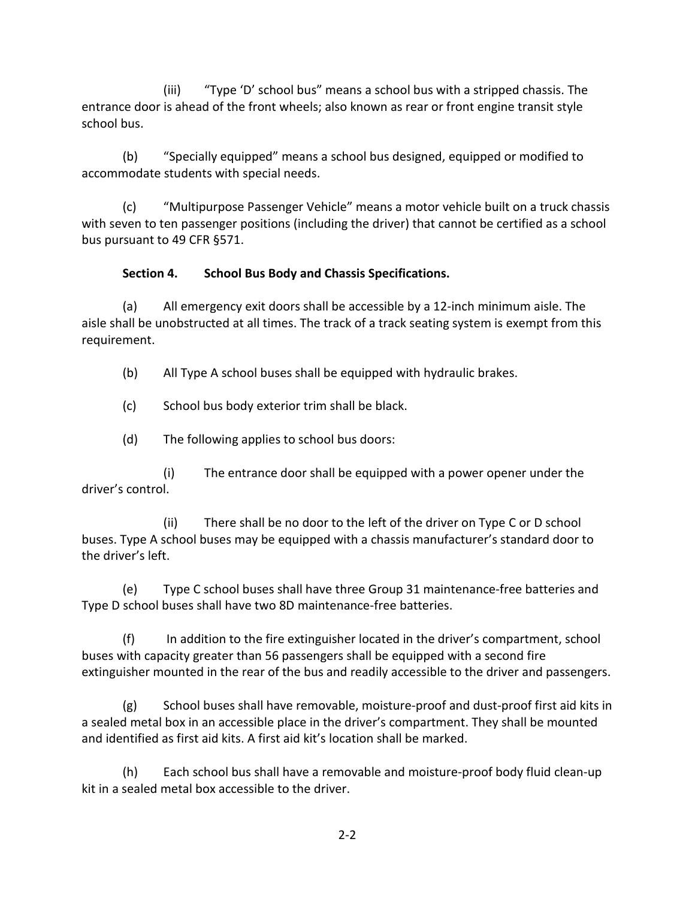(iii) "Type 'D' school bus" means a school bus with a stripped chassis. The entrance door is ahead of the front wheels; also known as rear or front engine transit style school bus.

(b) "Specially equipped" means a school bus designed, equipped or modified to accommodate students with special needs.

(c) "Multipurpose Passenger Vehicle" means a motor vehicle built on a truck chassis with seven to ten passenger positions (including the driver) that cannot be certified as a school bus pursuant to 49 CFR §571.

### **Section 4. School Bus Body and Chassis Specifications.**

(a) All emergency exit doors shall be accessible by a 12-inch minimum aisle. The aisle shall be unobstructed at all times. The track of a track seating system is exempt from this requirement.

(b) All Type A school buses shall be equipped with hydraulic brakes.

(c) School bus body exterior trim shall be black.

(d) The following applies to school bus doors:

(i) The entrance door shall be equipped with a power opener under the driver's control.

(ii) There shall be no door to the left of the driver on Type C or D school buses. Type A school buses may be equipped with a chassis manufacturer's standard door to the driver's left.

(e) Type C school buses shall have three Group 31 maintenance-free batteries and Type D school buses shall have two 8D maintenance-free batteries.

(f) In addition to the fire extinguisher located in the driver's compartment, school buses with capacity greater than 56 passengers shall be equipped with a second fire extinguisher mounted in the rear of the bus and readily accessible to the driver and passengers.

(g) School buses shall have removable, moisture-proof and dust-proof first aid kits in a sealed metal box in an accessible place in the driver's compartment. They shall be mounted and identified as first aid kits. A first aid kit's location shall be marked.

(h) Each school bus shall have a removable and moisture-proof body fluid clean-up kit in a sealed metal box accessible to the driver.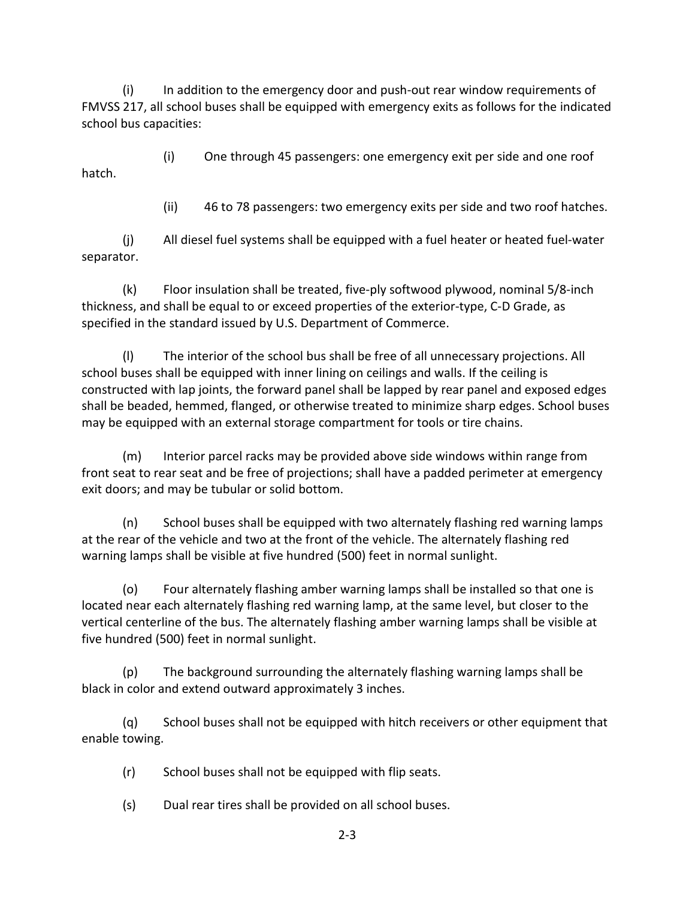(i) In addition to the emergency door and push-out rear window requirements of FMVSS 217, all school buses shall be equipped with emergency exits as follows for the indicated school bus capacities:

(i) One through 45 passengers: one emergency exit per side and one roof hatch.

(ii) 46 to 78 passengers: two emergency exits per side and two roof hatches.

(j) All diesel fuel systems shall be equipped with a fuel heater or heated fuel-water separator.

(k) Floor insulation shall be treated, five-ply softwood plywood, nominal 5/8-inch thickness, and shall be equal to or exceed properties of the exterior-type, C-D Grade, as specified in the standard issued by U.S. Department of Commerce.

(l) The interior of the school bus shall be free of all unnecessary projections. All school buses shall be equipped with inner lining on ceilings and walls. If the ceiling is constructed with lap joints, the forward panel shall be lapped by rear panel and exposed edges shall be beaded, hemmed, flanged, or otherwise treated to minimize sharp edges. School buses may be equipped with an external storage compartment for tools or tire chains.

(m) Interior parcel racks may be provided above side windows within range from front seat to rear seat and be free of projections; shall have a padded perimeter at emergency exit doors; and may be tubular or solid bottom.

(n) School buses shall be equipped with two alternately flashing red warning lamps at the rear of the vehicle and two at the front of the vehicle. The alternately flashing red warning lamps shall be visible at five hundred (500) feet in normal sunlight.

(o) Four alternately flashing amber warning lamps shall be installed so that one is located near each alternately flashing red warning lamp, at the same level, but closer to the vertical centerline of the bus. The alternately flashing amber warning lamps shall be visible at five hundred (500) feet in normal sunlight.

(p) The background surrounding the alternately flashing warning lamps shall be black in color and extend outward approximately 3 inches.

(q) School buses shall not be equipped with hitch receivers or other equipment that enable towing.

(r) School buses shall not be equipped with flip seats.

(s) Dual rear tires shall be provided on all school buses.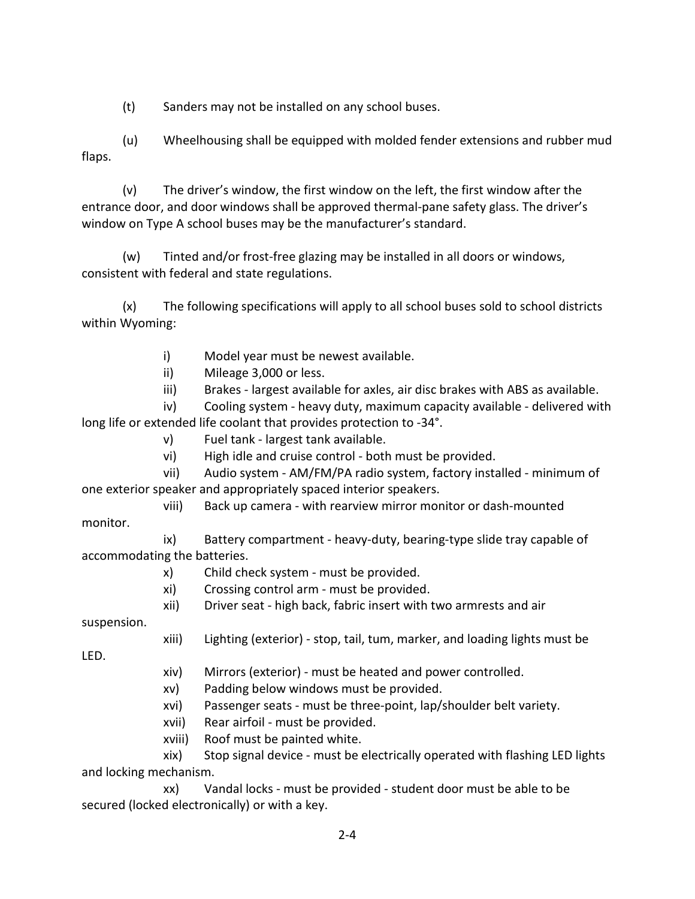(t) Sanders may not be installed on any school buses.

(u) Wheelhousing shall be equipped with molded fender extensions and rubber mud flaps.

(v) The driver's window, the first window on the left, the first window after the entrance door, and door windows shall be approved thermal-pane safety glass. The driver's window on Type A school buses may be the manufacturer's standard.

(w) Tinted and/or frost-free glazing may be installed in all doors or windows, consistent with federal and state regulations.

(x) The following specifications will apply to all school buses sold to school districts within Wyoming:

- i) Model year must be newest available.
- ii) Mileage 3,000 or less.
- iii) Brakes largest available for axles, air disc brakes with ABS as available.

iv) Cooling system - heavy duty, maximum capacity available - delivered with long life or extended life coolant that provides protection to -34°.

- v) Fuel tank largest tank available.
- vi) High idle and cruise control both must be provided.

vii) Audio system - AM/FM/PA radio system, factory installed - minimum of one exterior speaker and appropriately spaced interior speakers.

viii) Back up camera - with rearview mirror monitor or dash-mounted

monitor.

ix) Battery compartment - heavy-duty, bearing-type slide tray capable of accommodating the batteries.

- x) Child check system must be provided.
- xi) Crossing control arm must be provided.

xii) Driver seat - high back, fabric insert with two armrests and air

suspension.

xiii) Lighting (exterior) - stop, tail, tum, marker, and loading lights must be

LED.

- xiv) Mirrors (exterior) must be heated and power controlled.
- xv) Padding below windows must be provided.
- xvi) Passenger seats must be three-point, lap/shoulder belt variety.
- xvii) Rear airfoil must be provided.
- xviii) Roof must be painted white.

xix) Stop signal device - must be electrically operated with flashing LED lights and locking mechanism.

xx) Vandal locks - must be provided - student door must be able to be secured (locked electronically) or with a key.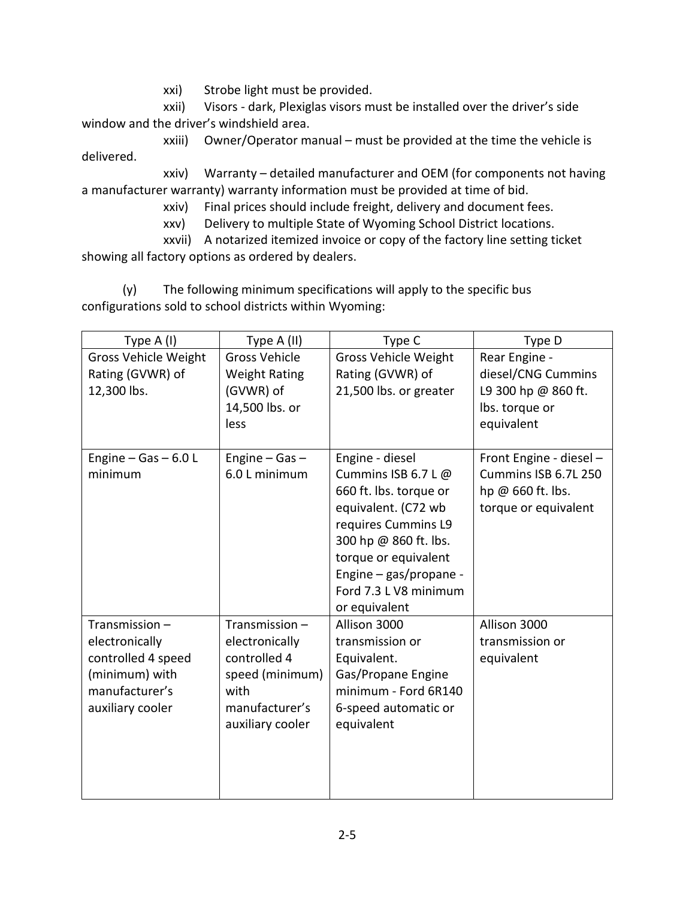xxi) Strobe light must be provided.

xxii) Visors - dark, Plexiglas visors must be installed over the driver's side window and the driver's windshield area.

xxiii) Owner/Operator manual – must be provided at the time the vehicle is delivered.

xxiv) Warranty – detailed manufacturer and OEM (for components not having a manufacturer warranty) warranty information must be provided at time of bid.

xxiv) Final prices should include freight, delivery and document fees.

xxv) Delivery to multiple State of Wyoming School District locations.

xxvii) A notarized itemized invoice or copy of the factory line setting ticket showing all factory options as ordered by dealers.

(y) The following minimum specifications will apply to the specific bus configurations sold to school districts within Wyoming:

| Type A (I)                  | Type A (II)          | Type C                      | Type D                  |
|-----------------------------|----------------------|-----------------------------|-------------------------|
| <b>Gross Vehicle Weight</b> | <b>Gross Vehicle</b> | <b>Gross Vehicle Weight</b> | Rear Engine -           |
| Rating (GVWR) of            | <b>Weight Rating</b> | Rating (GVWR) of            | diesel/CNG Cummins      |
| 12,300 lbs.                 | (GVWR) of            | 21,500 lbs. or greater      | L9 300 hp @ 860 ft.     |
|                             | 14,500 lbs. or       |                             | lbs. torque or          |
|                             | less                 |                             | equivalent              |
|                             |                      |                             |                         |
| Engine $-$ Gas $-$ 6.0 L    | Engine $-$ Gas $-$   | Engine - diesel             | Front Engine - diesel - |
| minimum                     | 6.0 L minimum        | Cummins ISB 6.7 L @         | Cummins ISB 6.7L 250    |
|                             |                      | 660 ft. lbs. torque or      | hp @ 660 ft. lbs.       |
|                             |                      | equivalent. (C72 wb         | torque or equivalent    |
|                             |                      | requires Cummins L9         |                         |
|                             |                      | 300 hp @ 860 ft. lbs.       |                         |
|                             |                      | torque or equivalent        |                         |
|                             |                      | Engine $-$ gas/propane -    |                         |
|                             |                      | Ford 7.3 L V8 minimum       |                         |
|                             |                      | or equivalent               |                         |
| Transmission-               | Transmission-        | Allison 3000                | Allison 3000            |
| electronically              | electronically       | transmission or             | transmission or         |
| controlled 4 speed          | controlled 4         | Equivalent.                 | equivalent              |
| (minimum) with              | speed (minimum)      | Gas/Propane Engine          |                         |
| manufacturer's              | with                 | minimum - Ford 6R140        |                         |
| auxiliary cooler            | manufacturer's       | 6-speed automatic or        |                         |
|                             | auxiliary cooler     | equivalent                  |                         |
|                             |                      |                             |                         |
|                             |                      |                             |                         |
|                             |                      |                             |                         |
|                             |                      |                             |                         |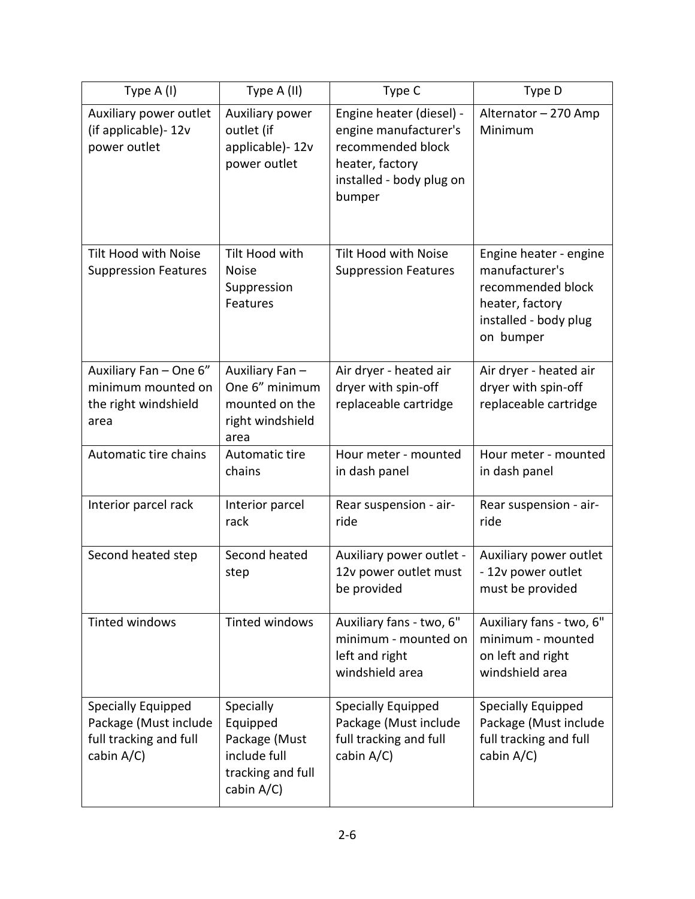| Type A (I)                                                                          | Type A (II)                                                                               | Type C                                                                                                                          | Type D                                                                                                                 |
|-------------------------------------------------------------------------------------|-------------------------------------------------------------------------------------------|---------------------------------------------------------------------------------------------------------------------------------|------------------------------------------------------------------------------------------------------------------------|
| Auxiliary power outlet<br>(if applicable)-12v<br>power outlet                       | Auxiliary power<br>outlet (if<br>applicable)-12v<br>power outlet                          | Engine heater (diesel) -<br>engine manufacturer's<br>recommended block<br>heater, factory<br>installed - body plug on<br>bumper | Alternator - 270 Amp<br>Minimum                                                                                        |
| Tilt Hood with Noise<br><b>Suppression Features</b>                                 | Tilt Hood with<br><b>Noise</b><br>Suppression<br>Features                                 | <b>Tilt Hood with Noise</b><br><b>Suppression Features</b>                                                                      | Engine heater - engine<br>manufacturer's<br>recommended block<br>heater, factory<br>installed - body plug<br>on bumper |
| Auxiliary Fan - One 6"<br>minimum mounted on<br>the right windshield<br>area        | Auxiliary Fan-<br>One 6" minimum<br>mounted on the<br>right windshield<br>area            | Air dryer - heated air<br>dryer with spin-off<br>replaceable cartridge                                                          | Air dryer - heated air<br>dryer with spin-off<br>replaceable cartridge                                                 |
| Automatic tire chains                                                               | Automatic tire<br>chains                                                                  | Hour meter - mounted<br>in dash panel                                                                                           | Hour meter - mounted<br>in dash panel                                                                                  |
| Interior parcel rack                                                                | Interior parcel<br>rack                                                                   | Rear suspension - air-<br>ride                                                                                                  | Rear suspension - air-<br>ride                                                                                         |
| Second heated step                                                                  | Second heated<br>step                                                                     | Auxiliary power outlet -<br>12v power outlet must<br>be provided                                                                | Auxiliary power outlet<br>- 12v power outlet<br>must be provided                                                       |
| <b>Tinted windows</b>                                                               | Tinted windows                                                                            | Auxiliary fans - two, 6"<br>minimum - mounted on<br>left and right<br>windshield area                                           | Auxiliary fans - two, 6"<br>minimum - mounted<br>on left and right<br>windshield area                                  |
| Specially Equipped<br>Package (Must include<br>full tracking and full<br>cabin A/C) | Specially<br>Equipped<br>Package (Must<br>include full<br>tracking and full<br>cabin A/C) | Specially Equipped<br>Package (Must include<br>full tracking and full<br>cabin A/C)                                             | Specially Equipped<br>Package (Must include<br>full tracking and full<br>cabin A/C)                                    |